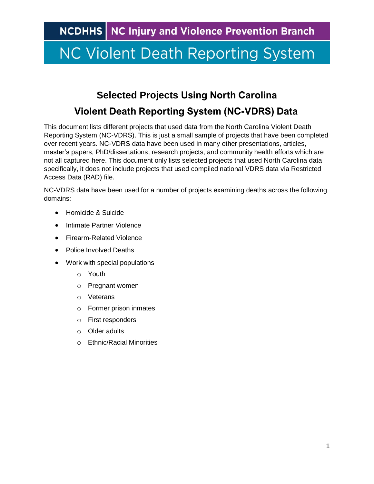### **Selected Projects Using North Carolina Violent Death Reporting System (NC-VDRS) Data**

This document lists different projects that used data from the North Carolina Violent Death Reporting System (NC-VDRS). This is just a small sample of projects that have been completed over recent years. NC-VDRS data have been used in many other presentations, articles, master's papers, PhD/dissertations, research projects, and community health efforts which are not all captured here. This document only lists selected projects that used North Carolina data specifically, it does not include projects that used compiled national VDRS data via Restricted Access Data (RAD) file.

NC-VDRS data have been used for a number of projects examining deaths across the following domains:

- [Homicide & Suicide](#page-0-0)
- [Intimate Partner Violence](#page-2-0)
- [Firearm-Related Violence](#page-3-0)
- [Police Involved Deaths](#page-3-1)
- <span id="page-0-0"></span>• [Work with special populations](#page-4-0)
	- o [Youth](#page-4-1)
	- o [Pregnant women](#page-4-2)
	- o [Veterans](#page-5-0)
	- o [Former prison inmates](#page-5-1)
	- o [First responders](#page-6-0)
	- o [Older adults](#page-6-1)
	- o [Ethnic/Racial Minorities](#page-6-2)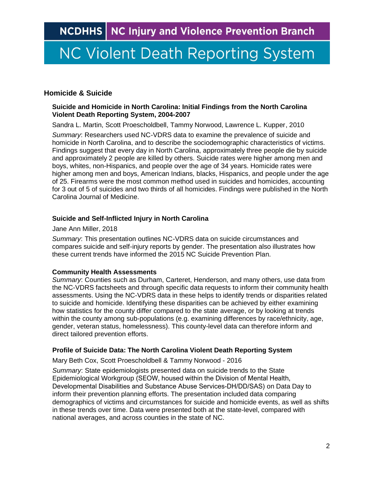#### **Homicide & Suicide**

#### **Suicide and Homicide in North Carolina: Initial Findings from the North Carolina Violent Death Reporting System, 2004-2007**

Sandra L. Martin, Scott Proescholdbell, Tammy Norwood, Lawrence L. Kupper, 2010

*Summary*: Researchers used NC-VDRS data to examine the prevalence of suicide and homicide in North Carolina, and to describe the sociodemographic characteristics of victims. Findings suggest that every day in North Carolina, approximately three people die by suicide and approximately 2 people are killed by others. Suicide rates were higher among men and boys, whites, non-Hispanics, and people over the age of 34 years. Homicide rates were higher among men and boys, American Indians, blacks, Hispanics, and people under the age of 25. Firearms were the most common method used in suicides and homicides, accounting for 3 out of 5 of suicides and two thirds of all homicides. Findings were published in the North Carolina Journal of Medicine.

#### **Suicide and Self-Inflicted Injury in North Carolina**

Jane Ann Miller, 2018

*Summary*: This presentation outlines NC-VDRS data on suicide circumstances and compares suicide and self-injury reports by gender. The presentation also illustrates how these current trends have informed the 2015 NC Suicide Prevention Plan.

#### **Community Health Assessments**

*Summary*: Counties such as Durham, Carteret, Henderson, and many others, use data from the NC-VDRS factsheets and through specific data requests to inform their community health assessments. Using the NC-VDRS data in these helps to identify trends or disparities related to suicide and homicide. Identifying these disparities can be achieved by either examining how statistics for the county differ compared to the state average, or by looking at trends within the county among sub-populations (e.g. examining differences by race/ethnicity, age, gender, veteran status, homelessness). This county-level data can therefore inform and direct tailored prevention efforts.

#### **Profile of Suicide Data: The North Carolina Violent Death Reporting System**

Mary Beth Cox, Scott Proescholdbell & Tammy Norwood - 2016

*Summary*: State epidemiologists presented data on suicide trends to the State Epidemiological Workgroup (SEOW, housed within the Division of Mental Health, Developmental Disabilities and Substance Abuse Services-DH/DD/SAS) on Data Day to inform their prevention planning efforts. The presentation included data comparing demographics of victims and circumstances for suicide and homicide events, as well as shifts in these trends over time. Data were presented both at the state-level, compared with national averages, and across counties in the state of NC.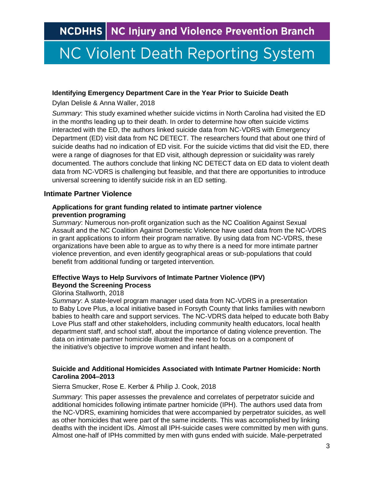## **NC Violent Death Reporting System**

#### **Identifying Emergency Department Care in the Year Prior to Suicide Death**

Dylan Delisle & Anna Waller, 2018

*Summary*: This study examined whether suicide victims in North Carolina had visited the ED in the months leading up to their death. In order to determine how often suicide victims interacted with the ED, the authors linked suicide data from NC-VDRS with Emergency Department (ED) visit data from NC DETECT. The researchers found that about one third of suicide deaths had no indication of ED visit. For the suicide victims that did visit the ED, there were a range of diagnoses for that ED visit, although depression or suicidality was rarely documented. The authors conclude that linking NC DETECT data on ED data to violent death data from NC-VDRS is challenging but feasible, and that there are opportunities to introduce universal screening to identify suicide risk in an ED setting.

#### <span id="page-2-0"></span>**Intimate Partner Violence**

#### **Applications for grant funding related to intimate partner violence prevention programing**

*Summary*: Numerous non-profit organization such as the NC Coalition Against Sexual Assault and the NC Coalition Against Domestic Violence have used data from the NC-VDRS in grant applications to inform their program narrative. By using data from NC-VDRS, these organizations have been able to argue as to why there is a need for more intimate partner violence prevention, and even identify geographical areas or sub-populations that could benefit from additional funding or targeted intervention.

#### **Effective Ways to Help Survivors of Intimate Partner Violence (IPV) Beyond the Screening Process**

#### Glorina Stallworth, 2018

*Summary*: A state-level program manager used data from NC-VDRS in a presentation to Baby Love Plus, a local initiative based in Forsyth County that links families with newborn babies to health care and support services. The NC-VDRS data helped to educate both Baby Love Plus staff and other stakeholders, including community health educators, local health department staff, and school staff, about the importance of dating violence prevention. The data on intimate partner homicide illustrated the need to focus on a component of the initiative's objective to improve women and infant health.

#### **Suicide and Additional Homicides Associated with Intimate Partner Homicide: North Carolina 2004–2013**

#### Sierra Smucker, Rose E. Kerber & Philip J. Cook, 2018

*Summary*: This paper assesses the prevalence and correlates of perpetrator suicide and additional homicides following intimate partner homicide (IPH). The authors used data from the NC-VDRS, examining homicides that were accompanied by perpetrator suicides, as well as other homicides that were part of the same incidents. This was accomplished by linking deaths with the incident IDs. Almost all IPH-suicide cases were committed by men with guns. Almost one-half of IPHs committed by men with guns ended with suicide. Male-perpetrated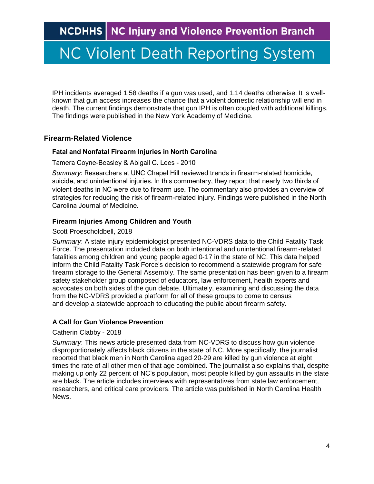IPH incidents averaged 1.58 deaths if a gun was used, and 1.14 deaths otherwise. It is wellknown that gun access increases the chance that a violent domestic relationship will end in death. The current findings demonstrate that gun IPH is often coupled with additional killings. The findings were published in the New York Academy of Medicine.

#### <span id="page-3-0"></span>**Firearm-Related Violence**

#### **Fatal and Nonfatal Firearm Injuries in North Carolina**

Tamera Coyne-Beasley & Abigail C. Lees - 2010

*Summary*: Researchers at UNC Chapel Hill reviewed trends in firearm-related homicide, suicide, and unintentional injuries. In this commentary, they report that nearly two thirds of violent deaths in NC were due to firearm use. The commentary also provides an overview of strategies for reducing the risk of firearm-related injury. Findings were published in the North Carolina Journal of Medicine.

#### **Firearm Injuries Among Children and Youth**

#### Scott Proescholdbell, 2018

*Summary*: A state injury epidemiologist presented NC-VDRS data to the Child Fatality Task Force. The presentation included data on both intentional and unintentional firearm-related fatalities among children and young people aged 0-17 in the state of NC. This data helped inform the Child Fatality Task Force's decision to recommend a statewide program for safe firearm storage to the General Assembly. The same presentation has been given to a firearm safety stakeholder group composed of educators, law enforcement, health experts and advocates on both sides of the gun debate. Ultimately, examining and discussing the data from the NC-VDRS provided a platform for all of these groups to come to census and develop a statewide approach to educating the public about firearm safety.

#### **A Call for Gun Violence Prevention**

#### Catherin Clabby - 2018

<span id="page-3-1"></span>*Summary*: This news article presented data from NC-VDRS to discuss how gun violence disproportionately affects black citizens in the state of NC. More specifically, the journalist reported that black men in North Carolina aged 20-29 are killed by gun violence at eight times the rate of all other men of that age combined. The journalist also explains that, despite making up only 22 percent of NC's population, most people killed by gun assaults in the state are black. The article includes interviews with representatives from state law enforcement, researchers, and critical care providers. The article was published in North Carolina Health News.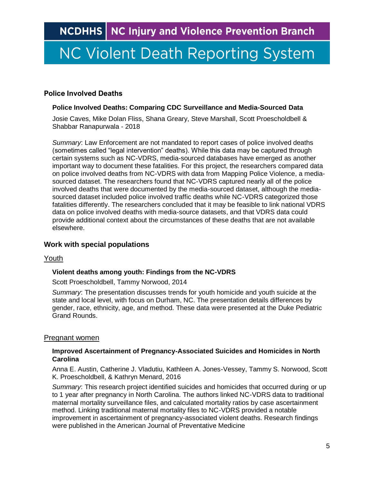# **NC Violent Death Reporting System**

#### **Police Involved Deaths**

#### **Police Involved Deaths: Comparing CDC Surveillance and Media-Sourced Data**

Josie Caves, Mike Dolan Fliss, Shana Greary, Steve Marshall, Scott Proescholdbell & Shabbar Ranapurwala - 2018

*Summary*: Law Enforcement are not mandated to report cases of police involved deaths (sometimes called "legal intervention" deaths). While this data may be captured through certain systems such as NC-VDRS, media-sourced databases have emerged as another important way to document these fatalities. For this project, the researchers compared data on police involved deaths from NC-VDRS with data from Mapping Police Violence, a mediasourced dataset. The researchers found that NC-VDRS captured nearly all of the police involved deaths that were documented by the media-sourced dataset, although the mediasourced dataset included police involved traffic deaths while NC-VDRS categorized those fatalities differently. The researchers concluded that it may be feasible to link national VDRS data on police involved deaths with media-source datasets, and that VDRS data could provide additional context about the circumstances of these deaths that are not available elsewhere.

#### <span id="page-4-0"></span>**Work with special populations**

#### <span id="page-4-1"></span>Youth

#### **Violent deaths among youth: Findings from the NC-VDRS**

Scott Proescholdbell, Tammy Norwood, 2014

*Summary*: The presentation discusses trends for youth homicide and youth suicide at the state and local level, with focus on Durham, NC. The presentation details differences by gender, race, ethnicity, age, and method. These data were presented at the Duke Pediatric Grand Rounds.

#### <span id="page-4-2"></span>Pregnant women

#### **Improved Ascertainment of Pregnancy-Associated Suicides and Homicides in North Carolina**

Anna E. Austin, Catherine J. Vladutiu, Kathleen A. Jones-Vessey, Tammy S. Norwood, Scott K. Proescholdbell, & Kathryn Menard, 2016

*Summary*: This research project identified suicides and homicides that occurred during or up to 1 year after pregnancy in North Carolina. The authors linked NC-VDRS data to traditional maternal mortality surveillance files, and calculated mortality ratios by case ascertainment method. Linking traditional maternal mortality files to NC-VDRS provided a notable improvement in ascertainment of pregnancy-associated violent deaths. Research findings were published in the American Journal of Preventative Medicine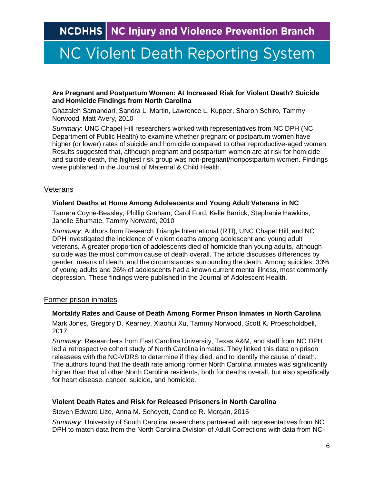## **NC Violent Death Reporting System**

#### **Are Pregnant and Postpartum Women: At Increased Risk for Violent Death? Suicide and Homicide Findings from North Carolina**

Ghazaleh Samandari, Sandra L. Martin, Lawrence L. Kupper, Sharon Schiro, Tammy Norwood, Matt Avery, 2010

*Summary*: UNC Chapel Hill researchers worked with representatives from NC DPH (NC Department of Public Health) to examine whether pregnant or postpartum women have higher (or lower) rates of suicide and homicide compared to other reproductive-aged women. Results suggested that, although pregnant and postpartum women are at risk for homicide and suicide death, the highest risk group was non-pregnant/nonpostpartum women. Findings were published in the Journal of Maternal & Child Health.

#### <span id="page-5-0"></span>**Veterans**

#### **Violent Deaths at Home Among Adolescents and Young Adult Veterans in NC**

Tamera Coyne-Beasley, Phillip Graham, Carol Ford, Kelle Barrick, Stephanie Hawkins, Janelle Shumate, Tammy Norward, 2010

*Summary*: Authors from Research Triangle International (RTI), UNC Chapel Hill, and NC DPH investigated the incidence of violent deaths among adolescent and young adult veterans. A greater proportion of adolescents died of homicide than young adults, although suicide was the most common cause of death overall. The article discusses differences by gender, means of death, and the circumstances surrounding the death. Among suicides, 33% of young adults and 26% of adolescents had a known current mental illness, most commonly depression. These findings were published in the Journal of Adolescent Health.

#### <span id="page-5-1"></span>Former prison inmates

#### **Mortality Rates and Cause of Death Among Former Prison Inmates in North Carolina**

Mark Jones, Gregory D. Kearney, Xiaohui Xu, Tammy Norwood, Scott K. Proescholdbell, 2017

*Summary*: Researchers from East Carolina University, Texas A&M, and staff from NC DPH led a retrospective cohort study of North Carolina inmates. They linked this data on prison releasees with the NC-VDRS to determine if they died, and to identify the cause of death. The authors found that the death rate among former North Carolina inmates was significantly higher than that of other North Carolina residents, both for deaths overall, but also specifically for heart disease, cancer, suicide, and homicide.

#### **Violent Death Rates and Risk for Released Prisoners in North Carolina**

Steven Edward Lize, Anna M. Scheyett, Candice R. Morgan, 2015

*Summary*: University of South Carolina researchers partnered with representatives from NC DPH to match data from the North Carolina Division of Adult Corrections with data from NC-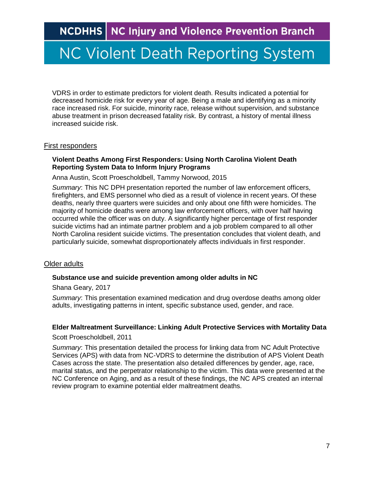### **NC Violent Death Reporting System**

VDRS in order to estimate predictors for violent death. Results indicated a potential for decreased homicide risk for every year of age. Being a male and identifying as a minority race increased risk. For suicide, minority race, release without supervision, and substance abuse treatment in prison decreased fatality risk. By contrast, a history of mental illness increased suicide risk.

#### <span id="page-6-0"></span>First responders

#### **Violent Deaths Among First Responders: Using North Carolina Violent Death Reporting System Data to Inform Injury Programs**

Anna Austin, Scott Proescholdbell, Tammy Norwood, 2015

*Summary*: This NC DPH presentation reported the number of law enforcement officers, firefighters, and EMS personnel who died as a result of violence in recent years. Of these deaths, nearly three quarters were suicides and only about one fifth were homicides. The majority of homicide deaths were among law enforcement officers, with over half having occurred while the officer was on duty. A significantly higher percentage of first responder suicide victims had an intimate partner problem and a job problem compared to all other North Carolina resident suicide victims. The presentation concludes that violent death, and particularly suicide, somewhat disproportionately affects individuals in first responder.

#### <span id="page-6-1"></span>Older adults

#### **Substance use and suicide prevention among older adults in NC**

Shana Geary, 2017

*Summary*: This presentation examined medication and drug overdose deaths among older adults, investigating patterns in intent, specific substance used, gender, and race.

#### **Elder Maltreatment Surveillance: Linking Adult Protective Services with Mortality Data**

Scott Proescholdbell, 2011

<span id="page-6-2"></span>*Summary*: This presentation detailed the process for linking data from NC Adult Protective Services (APS) with data from NC-VDRS to determine the distribution of APS Violent Death Cases across the state. The presentation also detailed differences by gender, age, race, marital status, and the perpetrator relationship to the victim. This data were presented at the NC Conference on Aging, and as a result of these findings, the NC APS created an internal review program to examine potential elder maltreatment deaths.